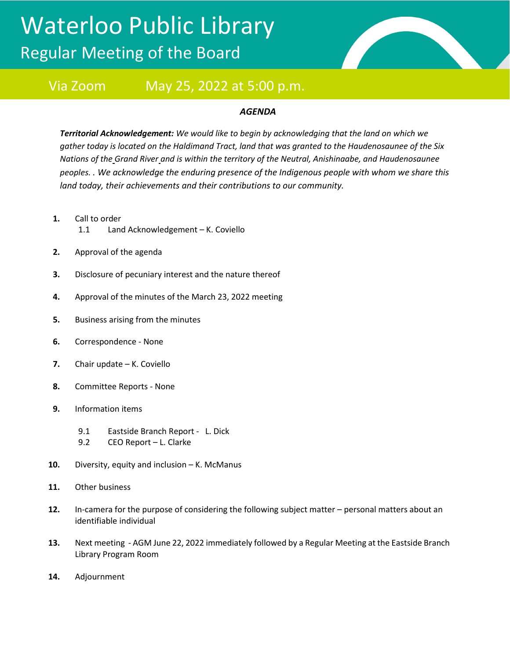## Waterloo Public Library Regular Meeting of the Board



## Via Zoom May 25, 2022 at 5:00 p.m.

## *AGENDA*

*Territorial Acknowledgement: We would like to begin by acknowledging that the land on which we gather today is located on the Haldimand Tract, land that was granted to the Haudenosaunee of the Six Nations of the Grand River and is within the territory of the Neutral, Anishinaabe, and Haudenosaunee peoples. . We acknowledge the enduring presence of the Indigenous people with whom we share this land today, their achievements and their contributions to our community.*

- **1.** Call to order
	- 1.1 Land Acknowledgement K. Coviello
- **2.** Approval of the agenda
- **3.** Disclosure of pecuniary interest and the nature thereof
- **4.** Approval of the minutes of the March 23, 2022 meeting
- **5.** Business arising from the minutes
- **6.** Correspondence None
- **7.** Chair update K. Coviello
- **8.** Committee Reports None
- **9.** Information items
	- 9.1 Eastside Branch Report L. Dick
	- 9.2 CEO Report L. Clarke
- **10.** Diversity, equity and inclusion K. McManus
- **11.** Other business
- **12.** In-camera for the purpose of considering the following subject matter personal matters about an identifiable individual
- **13.** Next meeting AGM June 22, 2022 immediately followed by a Regular Meeting at the Eastside Branch Library Program Room
- **14.** Adjournment